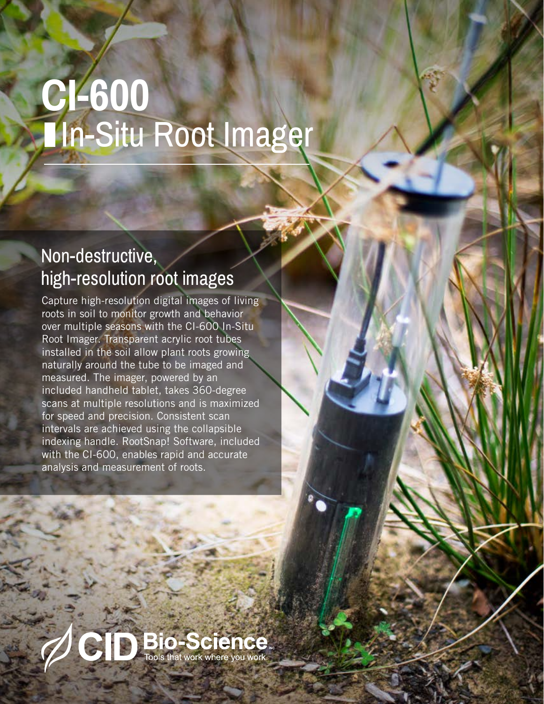# **CI-600** In-Situ Root Imager

# Non-destructive, high-resolution root images

Capture high-resolution digital images of living roots in soil to monitor growth and behavior over multiple seasons with the CI-600 In-Situ Root Imager. Transparent acrylic root tubes installed in the soil allow plant roots growing naturally around the tube to be imaged and measured. The imager, powered by an included handheld tablet, takes 360-degree scans at multiple resolutions and is maximized for speed and precision. Consistent scan intervals are achieved using the collapsible indexing handle. RootSnap! Software, included with the CI-600, enables rapid and accurate analysis and measurement of roots.

#### **Bio clence.**  $\overline{1}$  Tools that work where you work.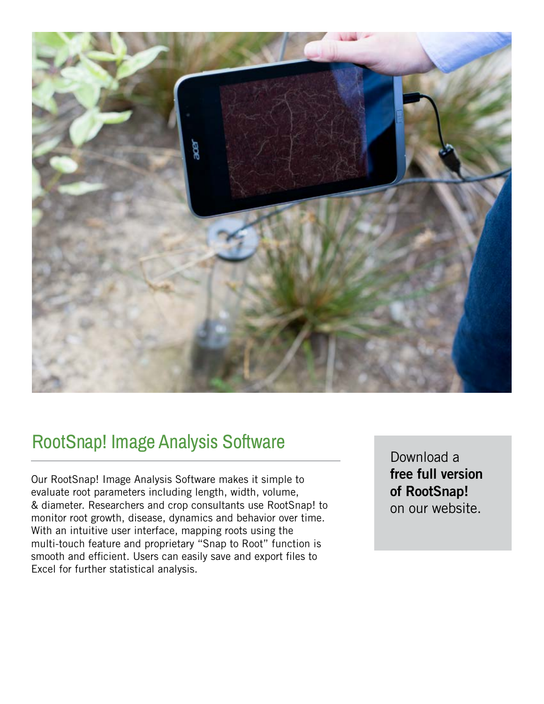

### RootSnap! Image Analysis Software

Our RootSnap! Image Analysis Software makes it simple to evaluate root parameters including length, width, volume, & diameter. Researchers and crop consultants use RootSnap! to monitor root growth, disease, dynamics and behavior over time. With an intuitive user interface, mapping roots using the multi-touch feature and proprietary "Snap to Root" function is smooth and efficient. Users can easily save and export files to Excel for further statistical analysis.

Download a free full version of RootSnap! on our website.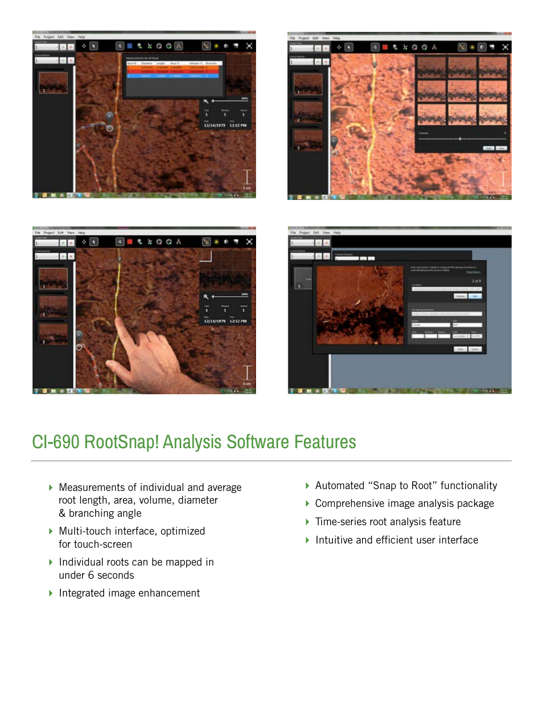







### CI-690 RootSnap! Analysis Software Features

- Measurements of individual and average root length, area, volume, diameter & branching angle
- Multi-touch interface, optimized for touch-screen
- Individual roots can be mapped in under 6 seconds
- Integrated image enhancement
- Automated "Snap to Root" functionality
- Comprehensive image analysis package
- **Time-series root analysis feature**
- Intuitive and efficient user interface